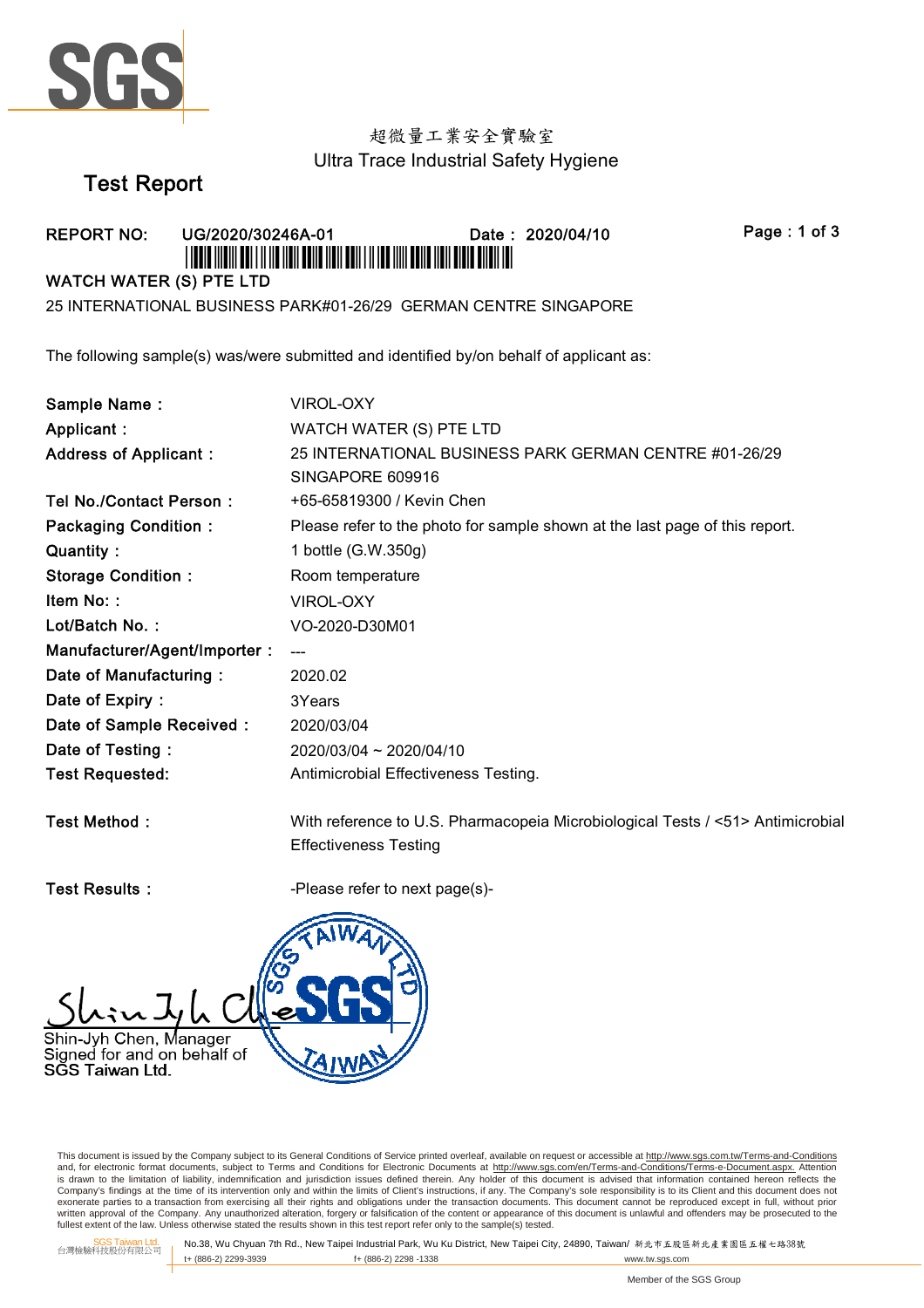

# 超微量工業安全實驗室 Ultra Trace Industrial Safety Hygiene

# **Test Report**

#### **REPORT NO:** Date: 2020/04/10 UG/2020/30246A-01 <u> I TERTE MENTERE I TERRE MEN ERA MEN DEN TA MER MATERIEN BEHE DER EN BIJ DE </u>

Page: 1 of 3

#### **WATCH WATER (S) PTE LTD**

25 INTERNATIONAL BUSINESS PARK#01-26/29 GERMAN CENTRE SINGAPORE

The following sample(s) was/were submitted and identified by/on behalf of applicant as:

| Sample Name:                 | <b>VIROL-OXY</b>                                                               |
|------------------------------|--------------------------------------------------------------------------------|
| Applicant:                   | WATCH WATER (S) PTE LTD                                                        |
| <b>Address of Applicant:</b> | 25 INTERNATIONAL BUSINESS PARK GERMAN CENTRE #01-26/29                         |
|                              | SINGAPORE 609916                                                               |
| Tel No./Contact Person:      | +65-65819300 / Kevin Chen                                                      |
| <b>Packaging Condition:</b>  | Please refer to the photo for sample shown at the last page of this report.    |
| Quantity:                    | 1 bottle (G.W.350g)                                                            |
| <b>Storage Condition:</b>    | Room temperature                                                               |
| Item No::                    | <b>VIROL-OXY</b>                                                               |
| Lot/Batch No.:               | VO-2020-D30M01                                                                 |
| Manufacturer/Agent/Importer: | ---                                                                            |
| Date of Manufacturing:       | 2020.02                                                                        |
| Date of Expiry:              | 3Years                                                                         |
| Date of Sample Received:     | 2020/03/04                                                                     |
| Date of Testing:             | 2020/03/04 ~ 2020/04/10                                                        |
| <b>Test Requested:</b>       | Antimicrobial Effectiveness Testing.                                           |
|                              |                                                                                |
| Test Method:                 | With reference to U.S. Pharmacopeia Microbiological Tests / <51> Antimicrobial |

**Test Results:** 

-Please refer to next page(s)-

**Effectiveness Testing** 



This document is issued by the Company subject to its General Conditions of Service printed overleaf, available on request or accessible at http://www.sqs.com.tw/Terms-and-Conditions and correlations for electronic format documents, subject to Terms and Conditions for Electronic Documents at http://www.sps.com/en/Terms-and-Conditions/Terms-e-Document.aspx. Attention<br>is drawn to the limitation of liabil exonerate parties to a transaction from exercising all their rights and obligations under the transaction documents. This document cannot be reproduced except in full, without prior whiten approval of the Company. Any unauthorized alteration, forgery or falsification of the content or appearance of this document is unlawful and offenders may be prosecuted to the fullest extent of the Company. Any unau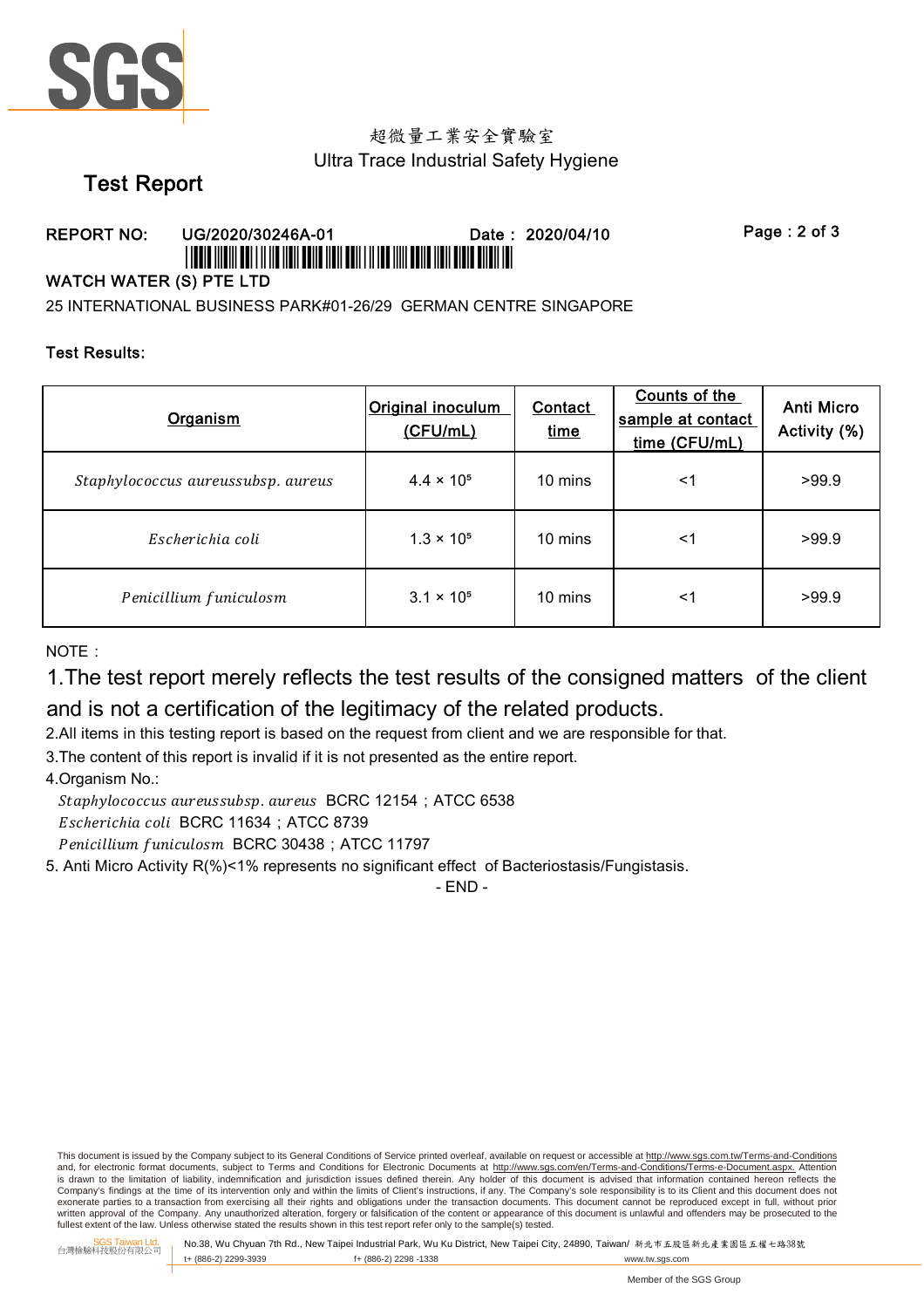

# 超微量工業安全實驗室 Ultra Trace Industrial Safety Hygiene

# **Test Report**

#### Date: 2020/04/10 **REPORT NO:** UG/2020/30246A-01 <u> I TERTE MENTERE I TERRE MEN ERA MEN DEN TA MER MATERIEN BEHE DER EN BIJ DE </u>

Page: 2 of 3

### **WATCH WATER (S) PTE LTD**

25 INTERNATIONAL BUSINESS PARK#01-26/29 GERMAN CENTRE SINGAPORE

#### **Test Results:**

| Organism                           | <b>Original inoculum</b><br>(CFU/mL) | <b>Contact</b><br>time | Counts of the<br>sample at contact<br>time (CFU/mL) | Anti Micro<br>Activity (%) |
|------------------------------------|--------------------------------------|------------------------|-----------------------------------------------------|----------------------------|
| Staphylococcus aureussubsp. aureus | $4.4 \times 10^{5}$                  | 10 mins                | $<$ 1                                               | >99.9                      |
| Escherichia coli                   | $1.3 \times 10^{5}$                  | 10 mins                | $<$ 1                                               | >99.9                      |
| Penicillium funiculosm             | $3.1 \times 10^{5}$                  | 10 mins                | <1                                                  | >99.9                      |

NOTE ·

1. The test report merely reflects the test results of the consigned matters of the client

and is not a certification of the legitimacy of the related products.

2.All items in this testing report is based on the request from client and we are responsible for that.

3. The content of this report is invalid if it is not presented as the entire report.

4. Organism No.:

Staphylococcus aureussubsp. aureus BCRC 12154; ATCC 6538 Escherichia coli BCRC 11634 ; ATCC 8739

Penicillium funiculosm BCRC 30438 ; ATCC 11797

5. Anti Micro Activity R(%)<1% represents no significant effect of Bacteriostasis/Fungistasis.

- END -

This document is issued by the Company subject to its General Conditions of Service printed overleaf, available on request or accessible at http://www.sqs.com.tw/Terms-and-Conditions and, for electronic format documents, subject to Terms and Conditions for Electronic Documents at http://www.sgs.com/en/Terms-and-Conditions/Terms-e-Document.aspx. **Attention** is drawn to the limitation of liability, indemnification and jurisdiction issues defined therein. Any holder of this document is advised that information contained hereon reflects the Company's findings at the time of its intervention only and within the limits of Client's instructions, if any. The Company's sole responsibility is to its Client and this document does not exonerate parties to a transaction from exercising all their rights and obligations under the transaction documents. This document cannot be reproduced except in full, without prior written approval of the Company. Any unauthorized alteration, forgery or falsification of the content or appearance of this document is unlawful and offenders may be prosecuted to the fullest extent of the law. Unless othe